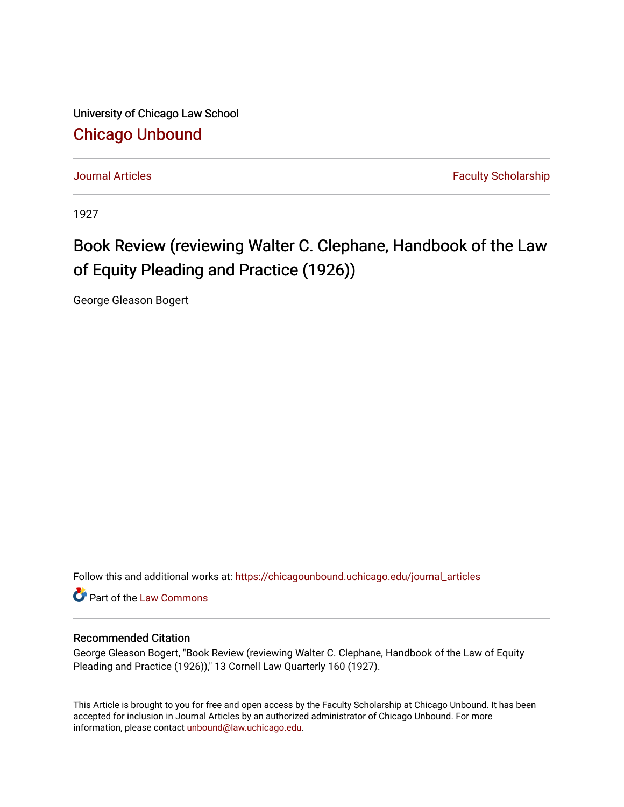University of Chicago Law School [Chicago Unbound](https://chicagounbound.uchicago.edu/)

[Journal Articles](https://chicagounbound.uchicago.edu/journal_articles) **Faculty Scholarship Journal Articles** 

1927

## Book Review (reviewing Walter C. Clephane, Handbook of the Law of Equity Pleading and Practice (1926))

George Gleason Bogert

Follow this and additional works at: [https://chicagounbound.uchicago.edu/journal\\_articles](https://chicagounbound.uchicago.edu/journal_articles?utm_source=chicagounbound.uchicago.edu%2Fjournal_articles%2F8968&utm_medium=PDF&utm_campaign=PDFCoverPages) 

**C** Part of the [Law Commons](http://network.bepress.com/hgg/discipline/578?utm_source=chicagounbound.uchicago.edu%2Fjournal_articles%2F8968&utm_medium=PDF&utm_campaign=PDFCoverPages)

## Recommended Citation

George Gleason Bogert, "Book Review (reviewing Walter C. Clephane, Handbook of the Law of Equity Pleading and Practice (1926))," 13 Cornell Law Quarterly 160 (1927).

This Article is brought to you for free and open access by the Faculty Scholarship at Chicago Unbound. It has been accepted for inclusion in Journal Articles by an authorized administrator of Chicago Unbound. For more information, please contact [unbound@law.uchicago.edu](mailto:unbound@law.uchicago.edu).